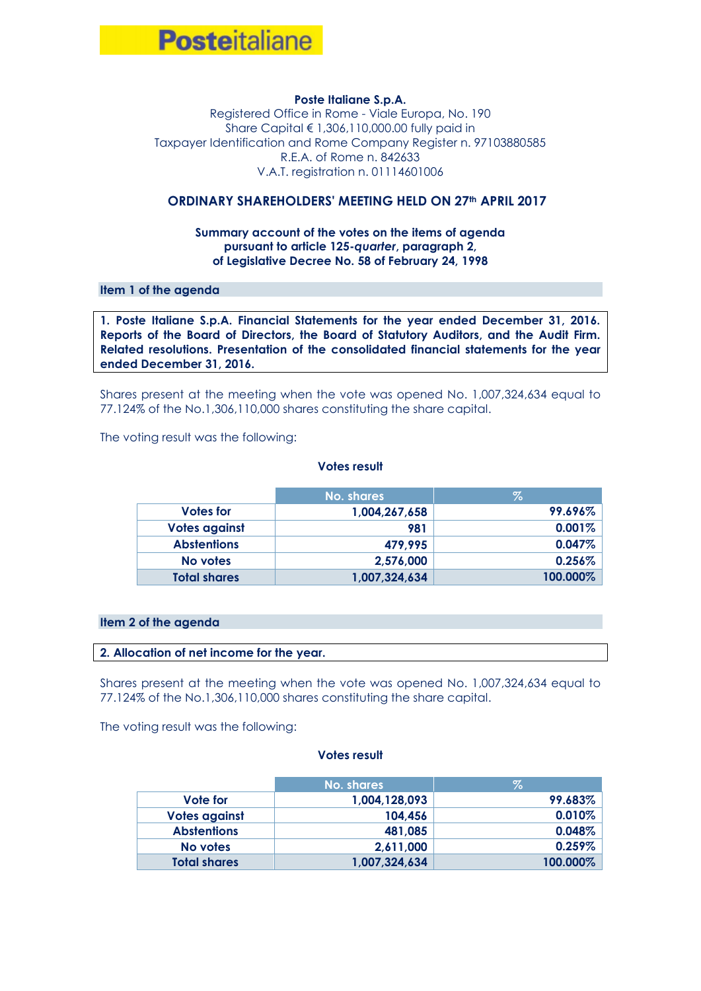

### **Poste Italiane S.p.A.**

Registered Office in Rome - Viale Europa, No. 190 Share Capital € 1,306,110,000.00 fully paid in Taxpayer Identification and Rome Company Register n. 97103880585 R.E.A. of Rome n. 842633 V.A.T. registration n. 01114601006

# **ORDINARY SHAREHOLDERS' MEETING HELD ON 27th APRIL 2017**

## **Summary account of the votes on the items of agenda pursuant to article 125-***quarter***, paragraph 2, of Legislative Decree No. 58 of February 24, 1998**

## **Item 1 of the agenda**

**1. Poste Italiane S.p.A. Financial Statements for the year ended December 31, 2016. Reports of the Board of Directors, the Board of Statutory Auditors, and the Audit Firm. Related resolutions. Presentation of the consolidated financial statements for the year ended December 31, 2016.**

Shares present at the meeting when the vote was opened No. 1,007,324,634 equal to 77.124% of the No.1,306,110,000 shares constituting the share capital.

The voting result was the following:

#### **Votes result**

|                     | No. shares    | Z.       |
|---------------------|---------------|----------|
| Votes for           | 1,004,267,658 | 99.696%  |
| Votes against       | 981           | 0.001%   |
| <b>Abstentions</b>  | 479,995       | 0.047%   |
| No votes            | 2,576,000     | 0.256%   |
| <b>Total shares</b> | 1,007,324,634 | 100.000% |

### **Item 2 of the agenda**

#### **2. Allocation of net income for the year.**

Shares present at the meeting when the vote was opened No. 1,007,324,634 equal to 77.124% of the No.1,306,110,000 shares constituting the share capital.

The voting result was the following:

|                     | No. shares    | Z.        |
|---------------------|---------------|-----------|
| Vote for            | 1,004,128,093 | 99.683%   |
| Votes against       | 104,456       | 0.010%    |
| <b>Abstentions</b>  | 481,085       | 0.048%    |
| No votes            | 2,611,000     | $0.259\%$ |
| <b>Total shares</b> | 1,007,324,634 | 100.000%  |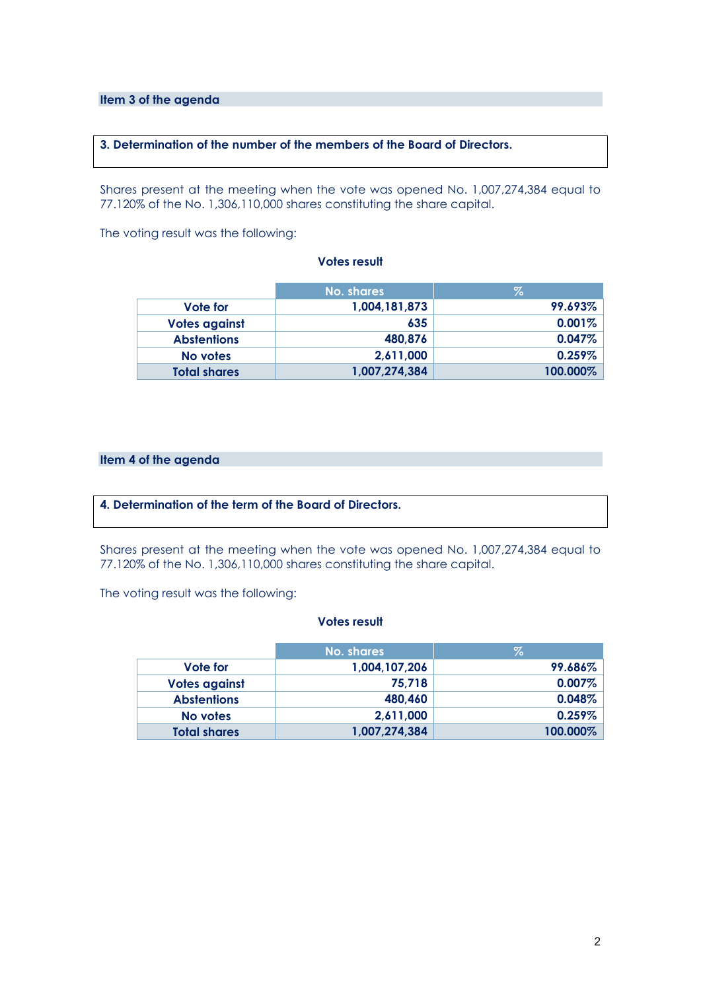**Item 3 of the agenda**

## **3. Determination of the number of the members of the Board of Directors.**

Shares present at the meeting when the vote was opened No. 1,007,274,384 equal to 77.120% of the No. 1,306,110,000 shares constituting the share capital.

The voting result was the following:

### **Votes result**

|                      | No. shares    | Z        |
|----------------------|---------------|----------|
| Vote for             | 1,004,181,873 | 99.693%  |
| <b>Votes against</b> | 635           | 0.001%   |
| <b>Abstentions</b>   | 480,876       | 0.047%   |
| No votes             | 2,611,000     | 0.259%   |
| <b>Total shares</b>  | 1,007,274,384 | 100.000% |

# **Item 4 of the agenda**

# **4. Determination of the term of the Board of Directors.**

Shares present at the meeting when the vote was opened No. 1,007,274,384 equal to 77.120% of the No. 1,306,110,000 shares constituting the share capital.

The voting result was the following:

|                      | No. shares    | Z.       |
|----------------------|---------------|----------|
| Vote for             | 1,004,107,206 | 99.686%  |
| <b>Votes against</b> | 75,718        | 0.007%   |
| <b>Abstentions</b>   | 480,460       | 0.048%   |
| No votes             | 2,611,000     | 0.259%   |
| <b>Total shares</b>  | 1,007,274,384 | 100.000% |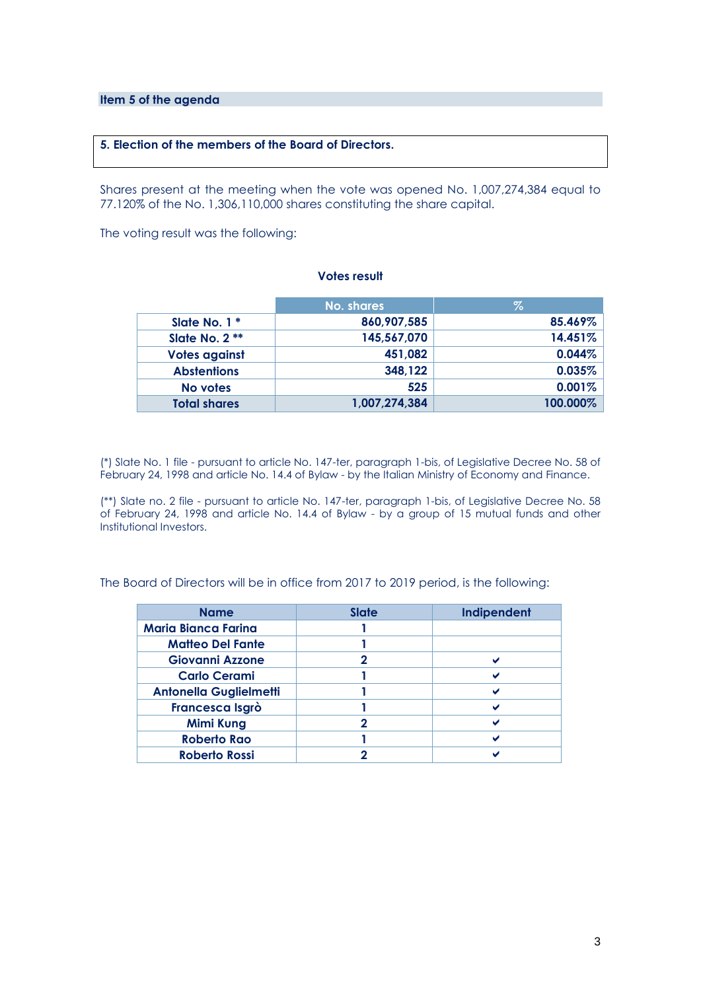**Item 5 of the agenda**

## **5. Election of the members of the Board of Directors.**

Shares present at the meeting when the vote was opened No. 1,007,274,384 equal to 77.120% of the No. 1,306,110,000 shares constituting the share capital.

The voting result was the following:

### **Votes result**

|                      | No. shares    | $\%$     |
|----------------------|---------------|----------|
| Slate No. $1 *$      | 860,907,585   | 85.469%  |
| Slate No. 2 **       | 145,567,070   | 14.451%  |
| <b>Votes against</b> | 451,082       | 0.044%   |
| <b>Abstentions</b>   | 348,122       | 0.035%   |
| No votes             | 525           | 0.001%   |
| <b>Total shares</b>  | 1,007,274,384 | 100.000% |

(\*) Slate No. 1 file - pursuant to article No. 147-ter, paragraph 1-bis, of Legislative Decree No. 58 of February 24, 1998 and article No. 14.4 of Bylaw - by the Italian Ministry of Economy and Finance.

(\*\*) Slate no. 2 file - pursuant to article No. 147-ter, paragraph 1-bis, of Legislative Decree No. 58 of February 24, 1998 and article No. 14.4 of Bylaw - by a group of 15 mutual funds and other Institutional Investors.

The Board of Directors will be in office from 2017 to 2019 period, is the following:

| <b>Name</b>                   | <b>Slate</b> | Indipendent |
|-------------------------------|--------------|-------------|
| <b>Maria Bianca Farina</b>    |              |             |
| <b>Matteo Del Fante</b>       |              |             |
| <b>Giovanni Azzone</b>        |              |             |
| <b>Carlo Cerami</b>           |              |             |
| <b>Antonella Guglielmetti</b> |              |             |
| Francesca Isgrò               |              |             |
| <b>Mimi Kung</b>              | כי           |             |
| <b>Roberto Rao</b>            |              |             |
| <b>Roberto Rossi</b>          |              |             |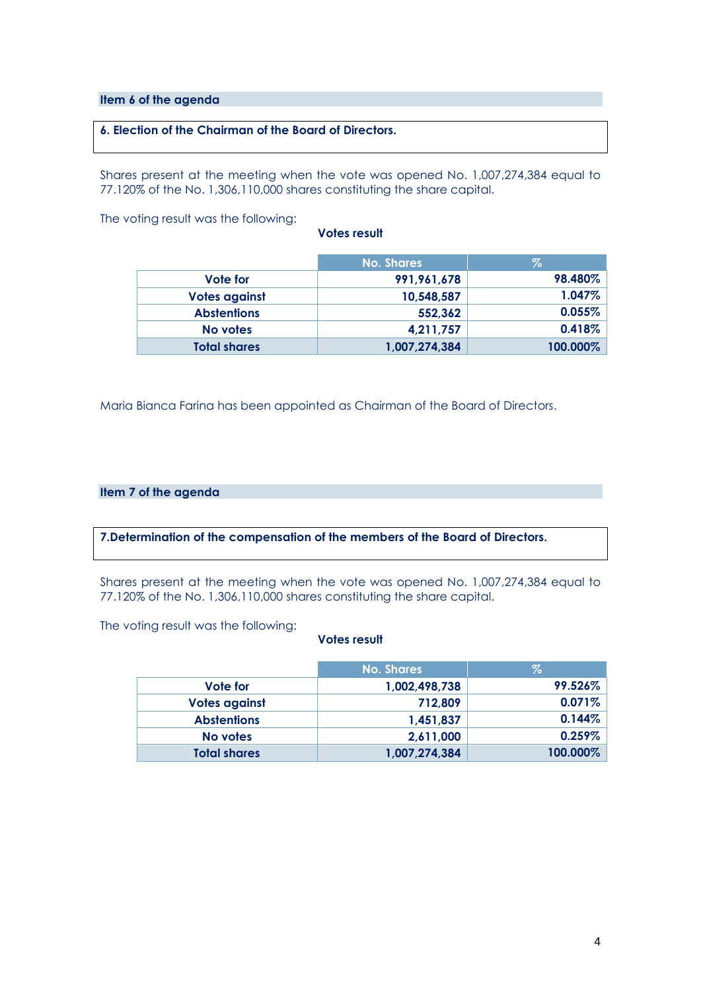### **Item 6 of the agenda**

# **6. Election of the Chairman of the Board of Directors.**

Shares present at the meeting when the vote was opened No. 1,007,274,384 equal to 77.120% of the No. 1,306,110,000 shares constituting the share capital.

The voting result was the following:

| Votes result |  |  |  |
|--------------|--|--|--|
|--------------|--|--|--|

|                      | <b>No. Shares</b> | $\%$      |
|----------------------|-------------------|-----------|
| Vote for             | 991,961,678       | 98.480%   |
| <b>Votes against</b> | 10,548,587        | $1.047\%$ |
| <b>Abstentions</b>   | 552,362           | $0.055\%$ |
| No votes             | 4,211,757         | $0.418\%$ |
| <b>Total shares</b>  | 1,007,274,384     | 100.000%  |

Maria Bianca Farina has been appointed as Chairman of the Board of Directors.

### **Item 7 of the agenda**

**7.Determination of the compensation of the members of the Board of Directors.**

Shares present at the meeting when the vote was opened No. 1,007,274,384 equal to 77.120% of the No. 1,306,110,000 shares constituting the share capital.

The voting result was the following:

|                      | <b>No. Shares</b> | %         |
|----------------------|-------------------|-----------|
| Vote for             | 1,002,498,738     | 99.526%   |
| <b>Votes against</b> | 712,809           | $0.071\%$ |
| <b>Abstentions</b>   | 1,451,837         | 0.144%    |
| No votes             | 2,611,000         | $0.259\%$ |
| <b>Total shares</b>  | 1,007,274,384     | 100.000%  |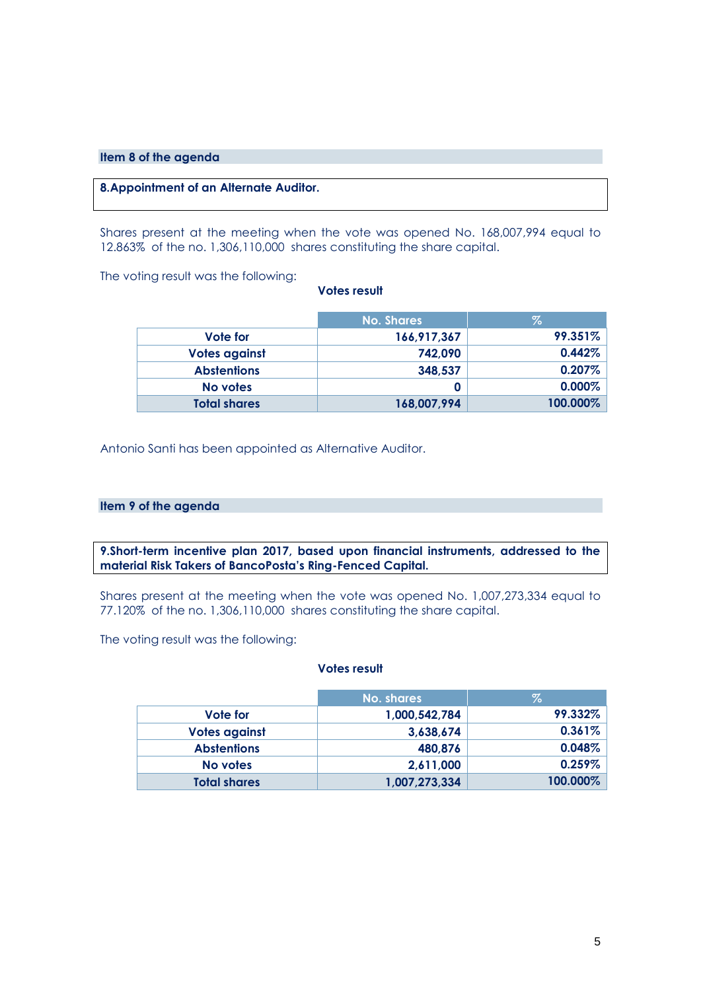### **Item 8 of the agenda**

# **8.Appointment of an Alternate Auditor.**

Shares present at the meeting when the vote was opened No. 168,007,994 equal to 12.863% of the no. 1,306,110,000 shares constituting the share capital.

The voting result was the following:

### **Votes result**

|                      | <b>No. Shares</b> | Z.        |
|----------------------|-------------------|-----------|
| Vote for             | 166,917,367       | 99.351%   |
| <b>Votes against</b> | 742,090           | 0.442%    |
| <b>Abstentions</b>   | 348,537           | $0.207\%$ |
| No votes             |                   | $0.000\%$ |
| <b>Total shares</b>  | 168,007,994       | 100.000%  |

Antonio Santi has been appointed as Alternative Auditor.

#### **Item 9 of the agenda**

**9.Short-term incentive plan 2017, based upon financial instruments, addressed to the material Risk Takers of BancoPosta's Ring-Fenced Capital.** 

Shares present at the meeting when the vote was opened No. 1,007,273,334 equal to 77.120% of the no. 1,306,110,000 shares constituting the share capital.

The voting result was the following:

|                      | No. shares    | $\%$      |
|----------------------|---------------|-----------|
| Vote for             | 1,000,542,784 | 99.332%   |
| <b>Votes against</b> | 3,638,674     | $0.361\%$ |
| <b>Abstentions</b>   | 480,876       | $0.048\%$ |
| No votes             | 2,611,000     | $0.259\%$ |
| <b>Total shares</b>  | 1,007,273,334 | 100.000%  |